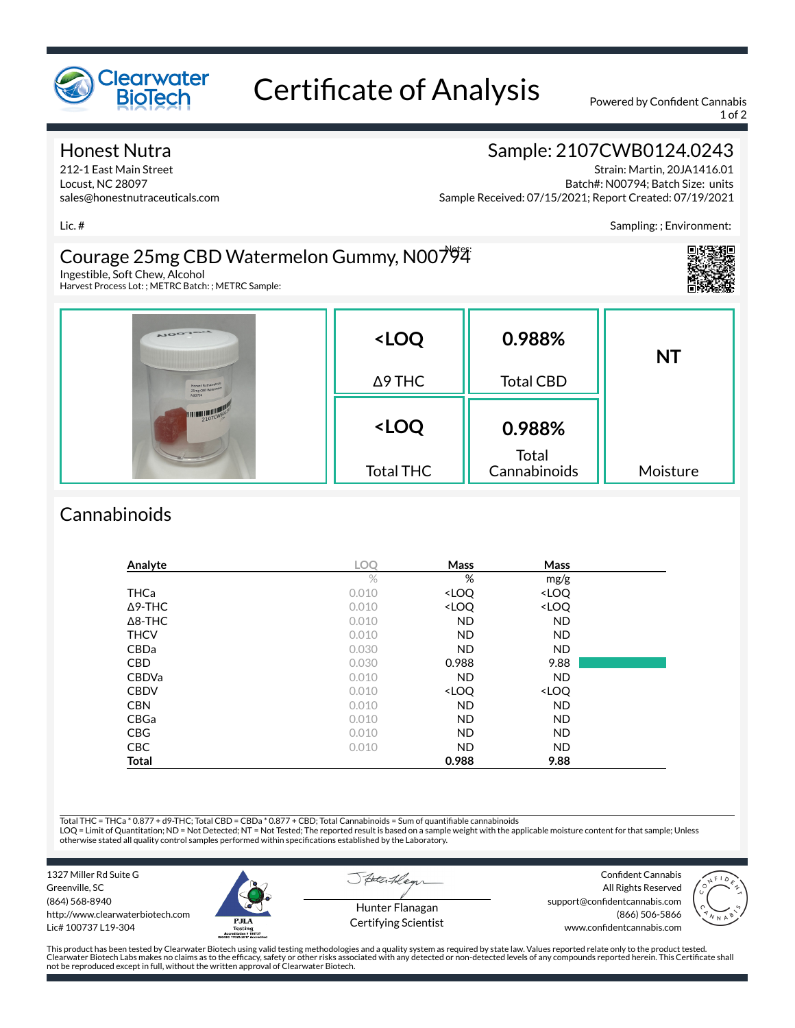

# Certificate of Analysis Powered by Confident Cannabis

1 of 2

Sampling: ; Environment:

#### Honest Nutra

212-1 East Main Street Locust, NC 28097 sales@honestnutraceuticals.com

## Sample: 2107CWB0124.0243

Strain: Martin, 20JA1416.01 Batch#: N00794; Batch Size: units Sample Received: 07/15/2021; Report Created: 07/19/2021

Lic. #

#### Courage 25mg CBD Watermelon Gummy, N00794 Notes:

Ingestible, Soft Chew, Alcohol Harvest Process Lot: ; METRC Batch: ; METRC Sample:

| <b>NOOTALL</b><br>Honest Nutracestical<br>25mg CBD Watermald<br>NO0794 | <loq<br><math>\Delta</math>9 THC</loq<br> | 0.988%<br><b>Total CBD</b>      | <b>NT</b> |
|------------------------------------------------------------------------|-------------------------------------------|---------------------------------|-----------|
|                                                                        | <loq<br><b>Total THC</b></loq<br>         | 0.988%<br>Total<br>Cannabinoids | Moisture  |

### **Cannabinoids**

| Analyte        | <b>LOO</b> | Mass                                                     | <b>Mass</b>                  |  |
|----------------|------------|----------------------------------------------------------|------------------------------|--|
|                | $\%$       | %                                                        | mg/g                         |  |
| <b>THCa</b>    | 0.010      | <loq< td=""><td><loq< td=""><td></td></loq<></td></loq<> | <loq< td=""><td></td></loq<> |  |
| $\Delta$ 9-THC | 0.010      | <loq< td=""><td><loq< td=""><td></td></loq<></td></loq<> | <loq< td=""><td></td></loq<> |  |
| $\Delta$ 8-THC | 0.010      | <b>ND</b>                                                | <b>ND</b>                    |  |
| <b>THCV</b>    | 0.010      | <b>ND</b>                                                | <b>ND</b>                    |  |
| CBDa           | 0.030      | <b>ND</b>                                                | <b>ND</b>                    |  |
| <b>CBD</b>     | 0.030      | 0.988                                                    | 9.88                         |  |
| <b>CBDVa</b>   | 0.010      | <b>ND</b>                                                | <b>ND</b>                    |  |
| <b>CBDV</b>    | 0.010      | <loq< td=""><td><loq< td=""><td></td></loq<></td></loq<> | <loq< td=""><td></td></loq<> |  |
| <b>CBN</b>     | 0.010      | <b>ND</b>                                                | <b>ND</b>                    |  |
| CBGa           | 0.010      | ND.                                                      | <b>ND</b>                    |  |
| <b>CBG</b>     | 0.010      | <b>ND</b>                                                | <b>ND</b>                    |  |
| <b>CBC</b>     | 0.010      | ND.                                                      | <b>ND</b>                    |  |
| Total          |            | 0.988                                                    | 9.88                         |  |

Total THC = THCa \* 0.877 + d9-THC; Total CBD = CBDa \* 0.877 + CBD; Total Cannabinoids = Sum of quantifiable cannabinoids<br>LOQ = Limit of Quantitation; ND = Not Detected; NT = Not Tested; The reported result is based on a sa otherwise stated all quality control samples performed within specications established by the Laboratory.

States 78

1327 Miller Rd Suite G Greenville, SC (864) 568-8940 http://www.clearwaterbiotech.com Lic# 100737 L19-304



Hunter Flanagan Certifying Scientist

Confident Cannabis All Rights Reserved support@confidentcannabis.com (866) 506-5866 www.confidentcannabis.com



This product has been tested by Clearwater Biotech using valid testing methodologies and a quality system as required by state law. Values reported relate only to the product tested. Clearwater Biotech Labs makes no claims as to the efficacy, safety or other risks associated with any detected or non-detected levels of any compounds reported herein. This Certificate shall<br>not be reproduced except in ful